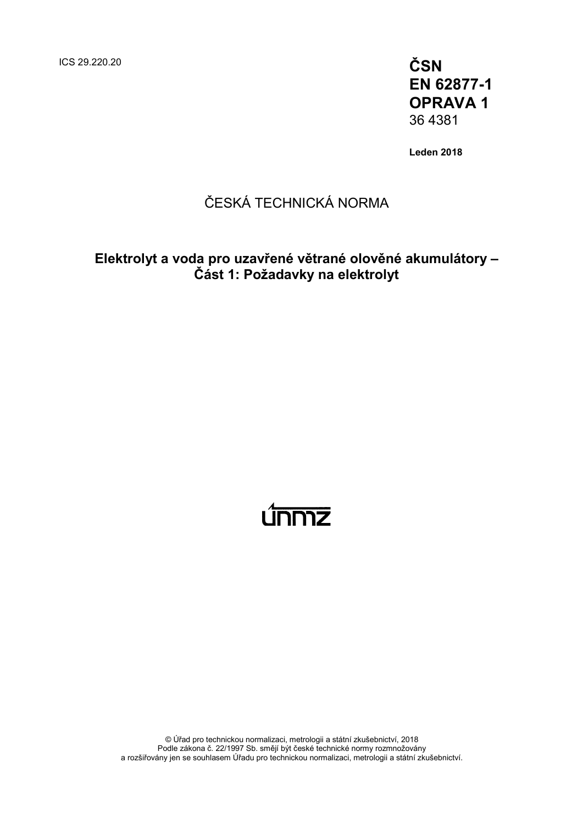ICS 29.220.20 **ČSN**

**EN 62877-1 OPRAVA 1** 36 4381

**Leden 2018**

# ČESKÁ TECHNICKÁ NORMA

#### **Elektrolyt a voda pro uzavřené větrané olověné akumulátory – Část 1: Požadavky na elektrolyt**

# <u>únmz</u>

© Úřad pro technickou normalizaci, metrologii a státní zkušebnictví, 2018 Podle zákona č. 22/1997 Sb. smějí být české technické normy rozmnožovány a rozšiřovány jen se souhlasem Úřadu pro technickou normalizaci, metrologii a státní zkušebnictví.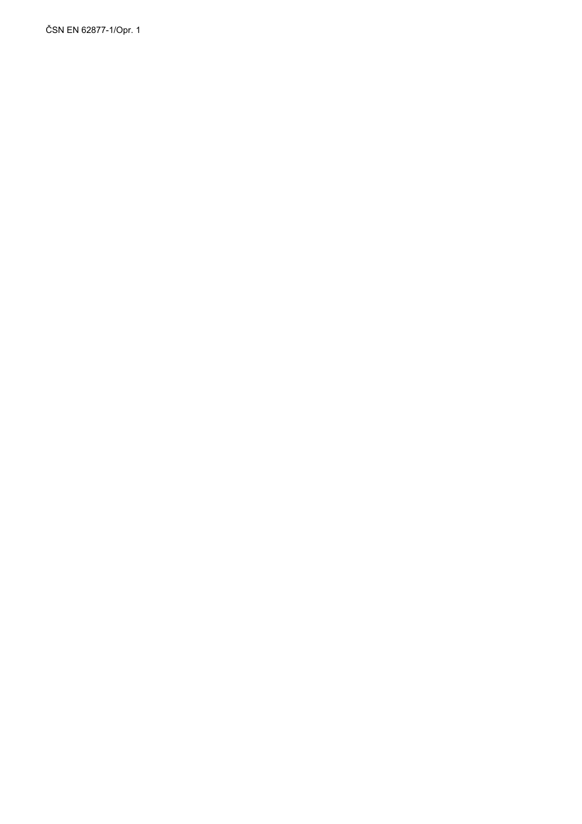ČSN EN 62877-1/Opr. 1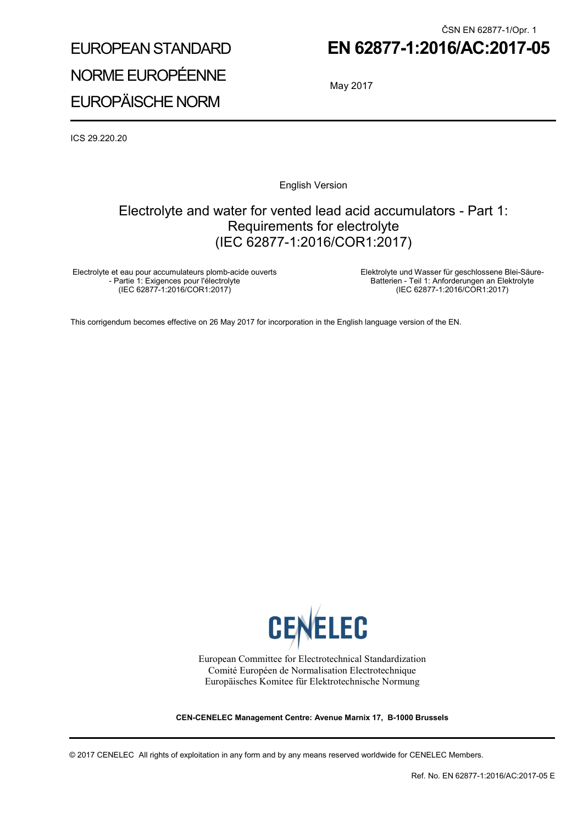### **EN 62877-1:2016/AC:2017-05** ČSN EN 62877-1/Opr. 1

# EUROPEAN STANDARD NORME EUROPÉENNE EUROPÄISCHE NORM

May 2017

ICS 29.220.20

English Version

#### Electrolyte and water for vented lead acid accumulators - Part 1: Requirements for electrolyte (IEC 62877-1:2016/COR1:2017)

Electrolyte et eau pour accumulateurs plomb-acide ouverts - Partie 1: Exigences pour l'électrolyte (IEC 62877-1:2016/COR1:2017)

Elektrolyte und Wasser für geschlossene Blei-Säure-Batterien - Teil 1: Anforderungen an Elektrolyte (IEC 62877-1:2016/COR1:2017)

This corrigendum becomes effective on 26 May 2017 for incorporation in the English language version of the EN.



European Committee for Electrotechnical Standardization Comité Européen de Normalisation Electrotechnique Europäisches Komitee für Elektrotechnische Normung

**CEN-CENELEC Management Centre: Avenue Marnix 17, B-1000 Brussels** 

© 2017 CENELEC All rights of exploitation in any form and by any means reserved worldwide for CENELEC Members.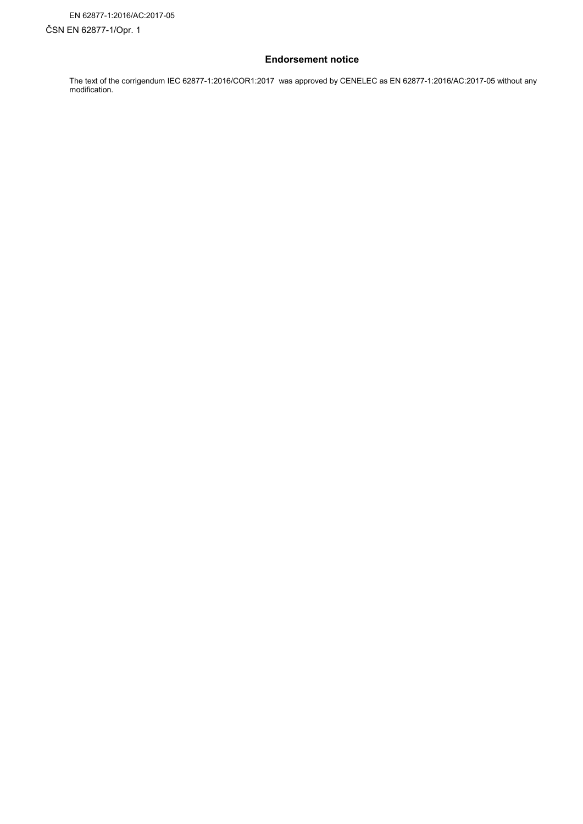EN 62877-1:2016/AC:2017-05

ČSN EN 62877-1/Opr. 1

#### **Endorsement notice**

The text of the corrigendum IEC 62877-1:2016/COR1:2017 was approved by CENELEC as EN 62877-1:2016/AC:2017-05 without any modification.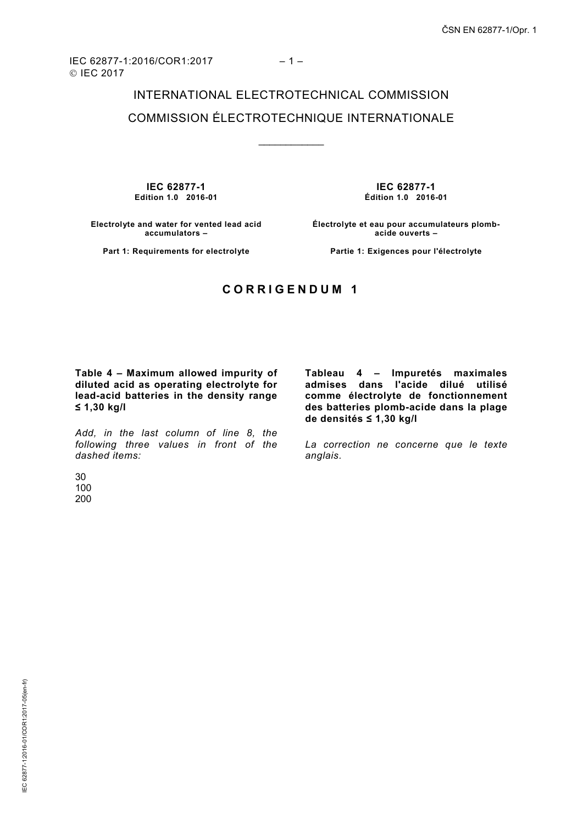IEC 62877-1:2016/COR1:2017 – 1 – © IEC 2017

# INTERNATIONAL ELECTROTECHNICAL COMMISSION COMMISSION ÉLECTROTECHNIQUE INTERNATIONALE

\_\_\_\_\_\_\_\_\_\_\_\_

**IEC 62877-1 Edition 1.0 2016-01**

**IEC 62877-1 Édition 1.0 2016-01**

**Electrolyte and water for vented lead acid accumulators –** 

**Électrolyte et eau pour accumulateurs plombacide ouverts –** 

**Part 1: Requirements for electrolyte**

**Partie 1: Exigences pour l'électrolyte**

#### **CORRIGENDUM 1**

**Table 4 – Maximum allowed impurity of diluted acid as operating electrolyte for lead-acid batteries in the density range ≤ 1,30 kg/l** 

*Add, in the last column of line 8, the following three values in front of the dashed items:*

30 100 200

**Tableau 4 – Impuretés maximales admises dans l'acide dilué utilisé comme électrolyte de fonctionnement des batteries plomb-acide dans la plage de densités ≤ 1,30 kg/l**

*La correction ne concerne que le texte anglais.*